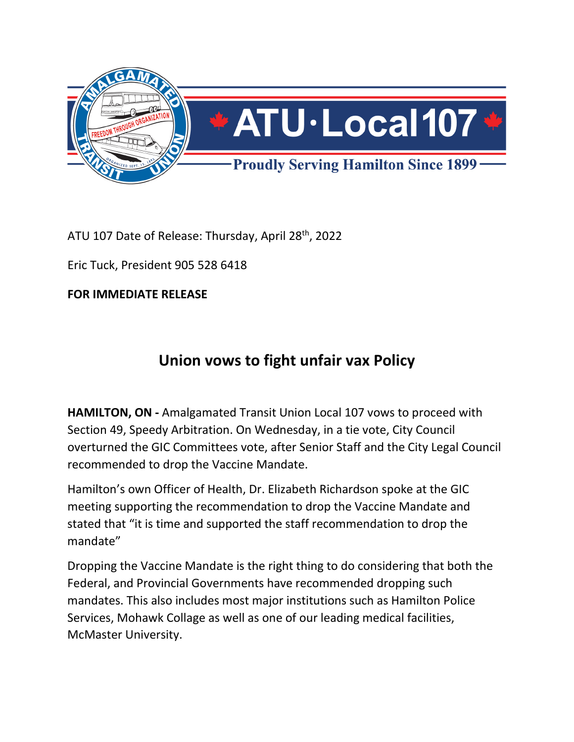

ATU 107 Date of Release: Thursday, April 28<sup>th</sup>, 2022

Eric Tuck, President 905 528 6418

**FOR IMMEDIATE RELEASE** 

## **Union vows to fight unfair vax Policy**

**HAMILTON, ON -** Amalgamated Transit Union Local 107 vows to proceed with Section 49, Speedy Arbitration. On Wednesday, in a tie vote, City Council overturned the GIC Committees vote, after Senior Staff and the City Legal Council recommended to drop the Vaccine Mandate.

Hamilton's own Officer of Health, Dr. Elizabeth Richardson spoke at the GIC meeting supporting the recommendation to drop the Vaccine Mandate and stated that "it is time and supported the staff recommendation to drop the mandate"

Dropping the Vaccine Mandate is the right thing to do considering that both the Federal, and Provincial Governments have recommended dropping such mandates. This also includes most major institutions such as Hamilton Police Services, Mohawk Collage as well as one of our leading medical facilities, McMaster University.